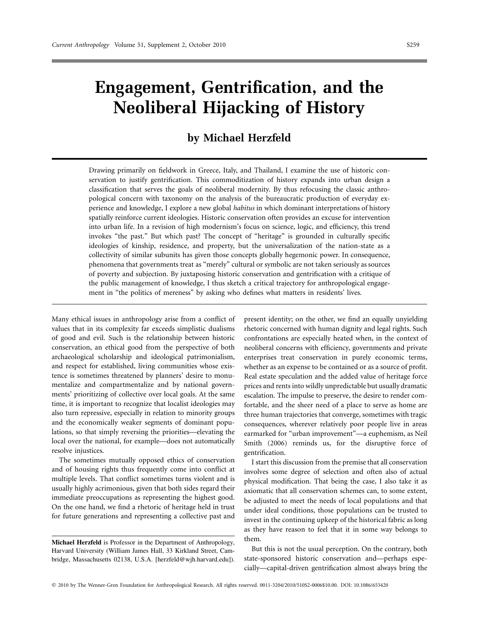## **Engagement, Gentrification, and the Neoliberal Hijacking of History**

## **by Michael Herzfeld**

Drawing primarily on fieldwork in Greece, Italy, and Thailand, I examine the use of historic conservation to justify gentrification. This commoditization of history expands into urban design a classification that serves the goals of neoliberal modernity. By thus refocusing the classic anthropological concern with taxonomy on the analysis of the bureaucratic production of everyday experience and knowledge, I explore a new global *habitus* in which dominant interpretations of history spatially reinforce current ideologies. Historic conservation often provides an excuse for intervention into urban life. In a revision of high modernism's focus on science, logic, and efficiency, this trend invokes "the past." But which past? The concept of "heritage" is grounded in culturally specific ideologies of kinship, residence, and property, but the universalization of the nation-state as a collectivity of similar subunits has given those concepts globally hegemonic power. In consequence, phenomena that governments treat as "merely" cultural or symbolic are not taken seriously as sources of poverty and subjection. By juxtaposing historic conservation and gentrification with a critique of the public management of knowledge, I thus sketch a critical trajectory for anthropological engagement in "the politics of mereness" by asking who defines what matters in residents' lives.

Many ethical issues in anthropology arise from a conflict of values that in its complexity far exceeds simplistic dualisms of good and evil. Such is the relationship between historic conservation, an ethical good from the perspective of both archaeological scholarship and ideological patrimonialism, and respect for established, living communities whose existence is sometimes threatened by planners' desire to monumentalize and compartmentalize and by national governments' prioritizing of collective over local goals. At the same time, it is important to recognize that localist ideologies may also turn repressive, especially in relation to minority groups and the economically weaker segments of dominant populations, so that simply reversing the priorities—elevating the local over the national, for example—does not automatically resolve injustices.

The sometimes mutually opposed ethics of conservation and of housing rights thus frequently come into conflict at multiple levels. That conflict sometimes turns violent and is usually highly acrimonious, given that both sides regard their immediate preoccupations as representing the highest good. On the one hand, we find a rhetoric of heritage held in trust for future generations and representing a collective past and

**Michael Herzfeld** is Professor in the Department of Anthropology, Harvard University (William James Hall, 33 Kirkland Street, Cambridge, Massachusetts 02138, U.S.A. [herzfeld@wjh.harvard.edu]).

present identity; on the other, we find an equally unyielding rhetoric concerned with human dignity and legal rights. Such confrontations are especially heated when, in the context of neoliberal concerns with efficiency, governments and private enterprises treat conservation in purely economic terms, whether as an expense to be contained or as a source of profit. Real estate speculation and the added value of heritage force prices and rents into wildly unpredictable but usually dramatic escalation. The impulse to preserve, the desire to render comfortable, and the sheer need of a place to serve as home are three human trajectories that converge, sometimes with tragic consequences, wherever relatively poor people live in areas earmarked for "urban improvement"—a euphemism, as Neil Smith (2006) reminds us, for the disruptive force of gentrification.

I start this discussion from the premise that all conservation involves some degree of selection and often also of actual physical modification. That being the case, I also take it as axiomatic that all conservation schemes can, to some extent, be adjusted to meet the needs of local populations and that under ideal conditions, those populations can be trusted to invest in the continuing upkeep of the historical fabric as long as they have reason to feel that it in some way belongs to them.

But this is not the usual perception. On the contrary, both state-sponsored historic conservation and—perhaps especially—capital-driven gentrification almost always bring the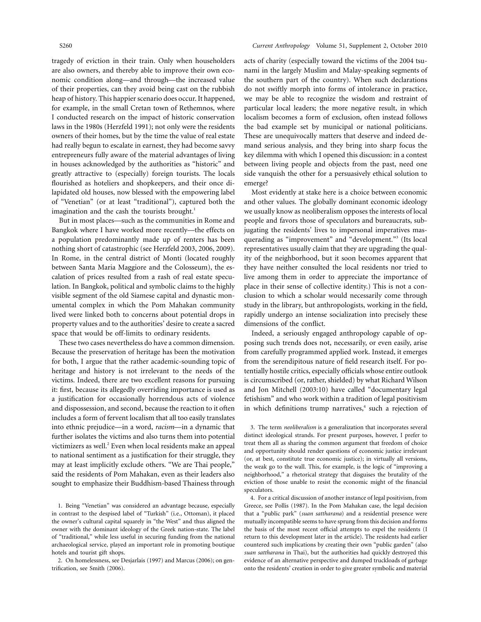tragedy of eviction in their train. Only when householders are also owners, and thereby able to improve their own economic condition along—and through—the increased value of their properties, can they avoid being cast on the rubbish heap of history. This happier scenario does occur. It happened, for example, in the small Cretan town of Rethemnos, where I conducted research on the impact of historic conservation laws in the 1980s (Herzfeld 1991); not only were the residents owners of their homes, but by the time the value of real estate had really begun to escalate in earnest, they had become savvy entrepreneurs fully aware of the material advantages of living in houses acknowledged by the authorities as "historic" and greatly attractive to (especially) foreign tourists. The locals flourished as hoteliers and shopkeepers, and their once dilapidated old houses, now blessed with the empowering label of "Venetian" (or at least "traditional"), captured both the imagination and the cash the tourists brought.<sup>1</sup>

But in most places—such as the communities in Rome and Bangkok where I have worked more recently—the effects on a population predominantly made up of renters has been nothing short of catastrophic (see Herzfeld 2003, 2006, 2009). In Rome, in the central district of Monti (located roughly between Santa Maria Maggiore and the Colosseum), the escalation of prices resulted from a rash of real estate speculation. In Bangkok, political and symbolic claims to the highly visible segment of the old Siamese capital and dynastic monumental complex in which the Pom Mahakan community lived were linked both to concerns about potential drops in property values and to the authorities' desire to create a sacred space that would be off-limits to ordinary residents.

These two cases nevertheless do have a common dimension. Because the preservation of heritage has been the motivation for both, I argue that the rather academic-sounding topic of heritage and history is not irrelevant to the needs of the victims. Indeed, there are two excellent reasons for pursuing it: first, because its allegedly overriding importance is used as a justification for occasionally horrendous acts of violence and dispossession, and second, because the reaction to it often includes a form of fervent localism that all too easily translates into ethnic prejudice—in a word, *racism*—in a dynamic that further isolates the victims and also turns them into potential victimizers as well.<sup>2</sup> Even when local residents make an appeal to national sentiment as a justification for their struggle, they may at least implicitly exclude others. "We are Thai people," said the residents of Pom Mahakan, even as their leaders also sought to emphasize their Buddhism-based Thainess through

1. Being "Venetian" was considered an advantage because, especially in contrast to the despised label of "Turkish" (i.e., Ottoman), it placed the owner's cultural capital squarely in "the West" and thus aligned the owner with the dominant ideology of the Greek nation-state. The label of "traditional," while less useful in securing funding from the national archaeological service, played an important role in promoting boutique hotels and tourist gift shops.

2. On homelessness, see Desjarlais (1997) and Marcus (2006); on gentrification, see Smith (2006).

acts of charity (especially toward the victims of the 2004 tsunami in the largely Muslim and Malay-speaking segments of the southern part of the country). When such declarations do not swiftly morph into forms of intolerance in practice, we may be able to recognize the wisdom and restraint of particular local leaders; the more negative result, in which localism becomes a form of exclusion, often instead follows the bad example set by municipal or national politicians. These are unequivocally matters that deserve and indeed demand serious analysis, and they bring into sharp focus the key dilemma with which I opened this discussion: in a contest between living people and objects from the past, need one side vanquish the other for a persuasively ethical solution to emerge?

Most evidently at stake here is a choice between economic and other values. The globally dominant economic ideology we usually know as neoliberalism opposes the interests of local people and favors those of speculators and bureaucrats, subjugating the residents' lives to impersonal imperatives masquerading as "improvement" and "development."3 (Its local representatives usually claim that they are upgrading the quality of the neighborhood, but it soon becomes apparent that they have neither consulted the local residents nor tried to live among them in order to appreciate the importance of place in their sense of collective identity.) This is not a conclusion to which a scholar would necessarily come through study in the library, but anthropologists, working in the field, rapidly undergo an intense socialization into precisely these dimensions of the conflict.

Indeed, a seriously engaged anthropology capable of opposing such trends does not, necessarily, or even easily, arise from carefully programmed applied work. Instead, it emerges from the serendipitous nature of field research itself. For potentially hostile critics, especially officials whose entire outlook is circumscribed (or, rather, shielded) by what Richard Wilson and Jon Mitchell (2003:10) have called "documentary legal fetishism" and who work within a tradition of legal positivism in which definitions trump narratives,<sup>4</sup> such a rejection of

3. The term *neoliberalism* is a generalization that incorporates several distinct ideological strands. For present purposes, however, I prefer to treat them all as sharing the common argument that freedom of choice and opportunity should render questions of economic justice irrelevant (or, at best, constitute true economic justice); in virtually all versions, the weak go to the wall. This, for example, is the logic of "improving a neighborhood," a rhetorical strategy that disguises the brutality of the eviction of those unable to resist the economic might of the financial speculators.

4. For a critical discussion of another instance of legal positivism, from Greece, see Pollis (1987). In the Pom Mahakan case, the legal decision that a "public park" (*suan sattharana*) and a residential presence were mutually incompatible seems to have sprung from this decision and forms the basis of the most recent official attempts to expel the residents (I return to this development later in the article). The residents had earlier countered such implications by creating their own "public garden" (also *suan sattharana* in Thai), but the authorities had quickly destroyed this evidence of an alternative perspective and dumped truckloads of garbage onto the residents' creation in order to give greater symbolic and material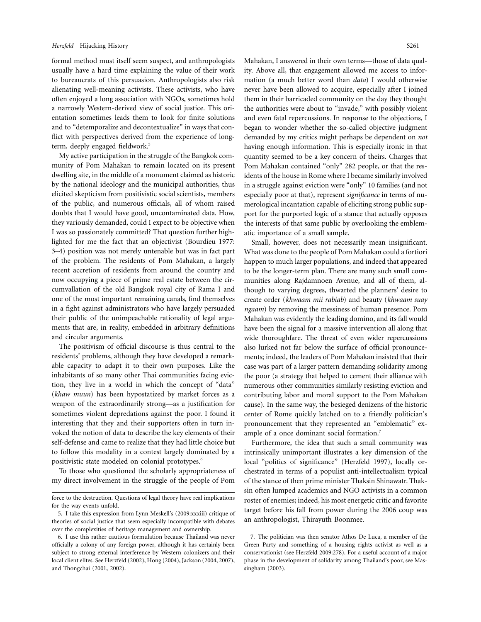formal method must itself seem suspect, and anthropologists usually have a hard time explaining the value of their work to bureaucrats of this persuasion. Anthropologists also risk alienating well-meaning activists. These activists, who have often enjoyed a long association with NGOs, sometimes hold a narrowly Western-derived view of social justice. This orientation sometimes leads them to look for finite solutions and to "detemporalize and decontextualize" in ways that conflict with perspectives derived from the experience of longterm, deeply engaged fieldwork.<sup>5</sup>

My active participation in the struggle of the Bangkok community of Pom Mahakan to remain located on its present dwelling site, in the middle of a monument claimed as historic by the national ideology and the municipal authorities, thus elicited skepticism from positivistic social scientists, members of the public, and numerous officials, all of whom raised doubts that I would have good, uncontaminated data. How, they variously demanded, could I expect to be objective when I was so passionately committed? That question further highlighted for me the fact that an objectivist (Bourdieu 1977: 3–4) position was not merely untenable but was in fact part of the problem. The residents of Pom Mahakan, a largely recent accretion of residents from around the country and now occupying a piece of prime real estate between the circumvallation of the old Bangkok royal city of Rama I and one of the most important remaining canals, find themselves in a fight against administrators who have largely persuaded their public of the unimpeachable rationality of legal arguments that are, in reality, embedded in arbitrary definitions and circular arguments.

The positivism of official discourse is thus central to the residents' problems, although they have developed a remarkable capacity to adapt it to their own purposes. Like the inhabitants of so many other Thai communities facing eviction, they live in a world in which the concept of "data" (*khaw muun*) has been hypostatized by market forces as a weapon of the extraordinarily strong—as a justification for sometimes violent depredations against the poor. I found it interesting that they and their supporters often in turn invoked the notion of data to describe the key elements of their self-defense and came to realize that they had little choice but to follow this modality in a contest largely dominated by a positivistic state modeled on colonial prototypes.<sup>6</sup>

To those who questioned the scholarly appropriateness of my direct involvement in the struggle of the people of Pom Mahakan, I answered in their own terms—those of data quality. Above all, that engagement allowed me access to information (a much better word than *data*) I would otherwise never have been allowed to acquire, especially after I joined them in their barricaded community on the day they thought the authorities were about to "invade," with possibly violent and even fatal repercussions. In response to the objections, I began to wonder whether the so-called objective judgment demanded by my critics might perhaps be dependent on *not* having enough information. This is especially ironic in that quantity seemed to be a key concern of theirs. Charges that Pom Mahakan contained "only" 282 people, or that the residents of the house in Rome where I became similarly involved in a struggle against eviction were "only" 10 families (and not especially poor at that), represent *significance* in terms of numerological incantation capable of eliciting strong public support for the purported logic of a stance that actually opposes the interests of that same public by overlooking the emblematic importance of a small sample.

Small, however, does not necessarily mean insignificant. What was done to the people of Pom Mahakan could a fortiori happen to much larger populations, and indeed that appeared to be the longer-term plan. There are many such small communities along Rajdamnoen Avenue, and all of them, although to varying degrees, thwarted the planners' desire to create order (*khwaam mii rabiab*) and beauty (*khwaam suay ngaam*) by removing the messiness of human presence. Pom Mahakan was evidently the leading domino, and its fall would have been the signal for a massive intervention all along that wide thoroughfare. The threat of even wider repercussions also lurked not far below the surface of official pronouncements; indeed, the leaders of Pom Mahakan insisted that their case was part of a larger pattern demanding solidarity among the poor (a strategy that helped to cement their alliance with numerous other communities similarly resisting eviction and contributing labor and moral support to the Pom Mahakan cause). In the same way, the besieged denizens of the historic center of Rome quickly latched on to a friendly politician's pronouncement that they represented an "emblematic" example of a once dominant social formation.<sup>7</sup>

Furthermore, the idea that such a small community was intrinsically unimportant illustrates a key dimension of the local "politics of significance" (Herzfeld 1997), locally orchestrated in terms of a populist anti-intellectualism typical of the stance of then prime minister Thaksin Shinawatr. Thaksin often lumped academics and NGO activists in a common roster of enemies; indeed, his most energetic critic and favorite target before his fall from power during the 2006 coup was an anthropologist, Thirayuth Boonmee.

force to the destruction. Questions of legal theory have real implications for the way events unfold.

<sup>5.</sup> I take this expression from Lynn Meskell's (2009:xxxiii) critique of theories of social justice that seem especially incompatible with debates over the complexities of heritage management and ownership.

<sup>6.</sup> I use this rather cautious formulation because Thailand was never officially a colony of any foreign power, although it has certainly been subject to strong external interference by Western colonizers and their local client elites. See Herzfeld (2002), Hong (2004), Jackson (2004, 2007), and Thongchai (2001, 2002).

<sup>7.</sup> The politician was then senator Athos De Luca, a member of the Green Party and something of a housing rights activist as well as a conservationist (see Herzfeld 2009:278). For a useful account of a major phase in the development of solidarity among Thailand's poor, see Massingham (2003).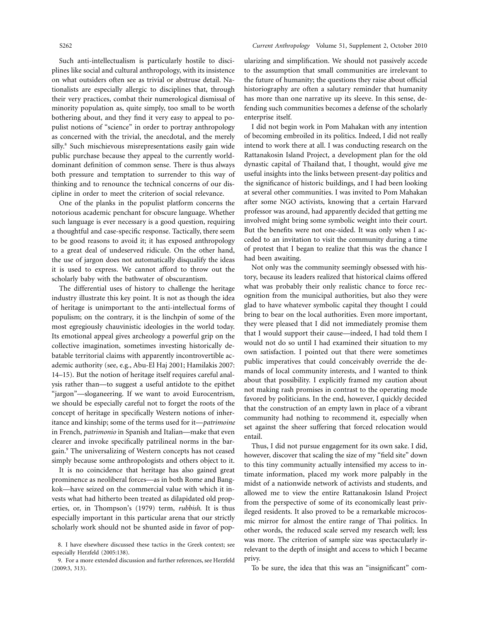Such anti-intellectualism is particularly hostile to disciplines like social and cultural anthropology, with its insistence on what outsiders often see as trivial or abstruse detail. Nationalists are especially allergic to disciplines that, through their very practices, combat their numerological dismissal of minority population as, quite simply, too small to be worth bothering about, and they find it very easy to appeal to populist notions of "science" in order to portray anthropology as concerned with the trivial, the anecdotal, and the merely silly.<sup>8</sup> Such mischievous misrepresentations easily gain wide public purchase because they appeal to the currently worlddominant definition of common sense. There is thus always both pressure and temptation to surrender to this way of thinking and to renounce the technical concerns of our discipline in order to meet the criterion of social relevance.

One of the planks in the populist platform concerns the notorious academic penchant for obscure language. Whether such language is ever necessary is a good question, requiring a thoughtful and case-specific response. Tactically, there seem to be good reasons to avoid it; it has exposed anthropology to a great deal of undeserved ridicule. On the other hand, the use of jargon does not automatically disqualify the ideas it is used to express. We cannot afford to throw out the scholarly baby with the bathwater of obscurantism.

The differential uses of history to challenge the heritage industry illustrate this key point. It is not as though the idea of heritage is unimportant to the anti-intellectual forms of populism; on the contrary, it is the linchpin of some of the most egregiously chauvinistic ideologies in the world today. Its emotional appeal gives archeology a powerful grip on the collective imagination, sometimes investing historically debatable territorial claims with apparently incontrovertible academic authority (see, e.g., Abu-El Haj 2001; Hamilakis 2007: 14–15). But the notion of heritage itself requires careful analysis rather than—to suggest a useful antidote to the epithet "jargon"—sloganeering. If we want to avoid Eurocentrism, we should be especially careful not to forget the roots of the concept of heritage in specifically Western notions of inheritance and kinship; some of the terms used for it—*patrimoine* in French, *patrimonio* in Spanish and Italian—make that even clearer and invoke specifically patrilineal norms in the bargain.9 The universalizing of Western concepts has not ceased simply because some anthropologists and others object to it.

It is no coincidence that heritage has also gained great prominence as neoliberal forces—as in both Rome and Bangkok—have seized on the commercial value with which it invests what had hitherto been treated as dilapidated old properties, or, in Thompson's (1979) term, *rubbish*. It is thus especially important in this particular arena that our strictly scholarly work should not be shunted aside in favor of popularizing and simplification. We should not passively accede to the assumption that small communities are irrelevant to the future of humanity; the questions they raise about official historiography are often a salutary reminder that humanity has more than one narrative up its sleeve. In this sense, defending such communities becomes a defense of the scholarly enterprise itself.

I did not begin work in Pom Mahakan with any intention of becoming embroiled in its politics. Indeed, I did not really intend to work there at all. I was conducting research on the Rattanakosin Island Project, a development plan for the old dynastic capital of Thailand that, I thought, would give me useful insights into the links between present-day politics and the significance of historic buildings, and I had been looking at several other communities. I was invited to Pom Mahakan after some NGO activists, knowing that a certain Harvard professor was around, had apparently decided that getting me involved might bring some symbolic weight into their court. But the benefits were not one-sided. It was only when I acceded to an invitation to visit the community during a time of protest that I began to realize that this was the chance I had been awaiting.

Not only was the community seemingly obsessed with history, because its leaders realized that historical claims offered what was probably their only realistic chance to force recognition from the municipal authorities, but also they were glad to have whatever symbolic capital they thought I could bring to bear on the local authorities. Even more important, they were pleased that I did not immediately promise them that I would support their cause—indeed, I had told them I would not do so until I had examined their situation to my own satisfaction. I pointed out that there were sometimes public imperatives that could conceivably override the demands of local community interests, and I wanted to think about that possibility. I explicitly framed my caution about not making rash promises in contrast to the operating mode favored by politicians. In the end, however, I quickly decided that the construction of an empty lawn in place of a vibrant community had nothing to recommend it, especially when set against the sheer suffering that forced relocation would entail.

Thus, I did not pursue engagement for its own sake. I did, however, discover that scaling the size of my "field site" down to this tiny community actually intensified my access to intimate information, placed my work more palpably in the midst of a nationwide network of activists and students, and allowed me to view the entire Rattanakosin Island Project from the perspective of some of its economically least privileged residents. It also proved to be a remarkable microcosmic mirror for almost the entire range of Thai politics. In other words, the reduced scale served my research well; less was more. The criterion of sample size was spectacularly irrelevant to the depth of insight and access to which I became privy.

To be sure, the idea that this was an "insignificant" com-

<sup>8.</sup> I have elsewhere discussed these tactics in the Greek context; see especially Herzfeld (2005:138).

<sup>9.</sup> For a more extended discussion and further references, see Herzfeld (2009:3, 313).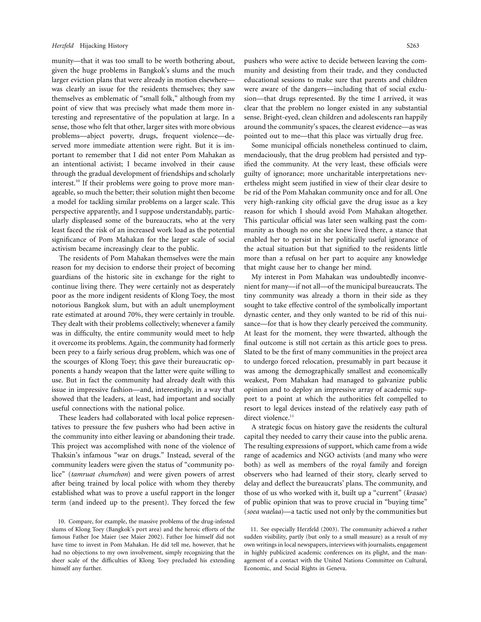munity—that it was too small to be worth bothering about, given the huge problems in Bangkok's slums and the much larger eviction plans that were already in motion elsewhere was clearly an issue for the residents themselves; they saw themselves as emblematic of "small folk," although from my point of view that was precisely what made them more interesting and representative of the population at large. In a sense, those who felt that other, larger sites with more obvious problems—abject poverty, drugs, frequent violence—deserved more immediate attention were right. But it is important to remember that I did not enter Pom Mahakan as an intentional activist; I became involved in their cause through the gradual development of friendships and scholarly interest.<sup>10</sup> If their problems were going to prove more manageable, so much the better; their solution might then become a model for tackling similar problems on a larger scale. This perspective apparently, and I suppose understandably, particularly displeased some of the bureaucrats, who at the very least faced the risk of an increased work load as the potential significance of Pom Mahakan for the larger scale of social activism became increasingly clear to the public.

The residents of Pom Mahakan themselves were the main reason for my decision to endorse their project of becoming guardians of the historic site in exchange for the right to continue living there. They were certainly not as desperately poor as the more indigent residents of Klong Toey, the most notorious Bangkok slum, but with an adult unemployment rate estimated at around 70%, they were certainly in trouble. They dealt with their problems collectively; whenever a family was in difficulty, the entire community would meet to help it overcome its problems. Again, the community had formerly been prey to a fairly serious drug problem, which was one of the scourges of Klong Toey; this gave their bureaucratic opponents a handy weapon that the latter were quite willing to use. But in fact the community had already dealt with this issue in impressive fashion—and, interestingly, in a way that showed that the leaders, at least, had important and socially useful connections with the national police.

These leaders had collaborated with local police representatives to pressure the few pushers who had been active in the community into either leaving or abandoning their trade. This project was accomplished with none of the violence of Thaksin's infamous "war on drugs." Instead, several of the community leaders were given the status of "community police" (*tamruat chumchon*) and were given powers of arrest after being trained by local police with whom they thereby established what was to prove a useful rapport in the longer term (and indeed up to the present). They forced the few

pushers who were active to decide between leaving the community and desisting from their trade, and they conducted educational sessions to make sure that parents and children were aware of the dangers—including that of social exclusion—that drugs represented. By the time I arrived, it was clear that the problem no longer existed in any substantial sense. Bright-eyed, clean children and adolescents ran happily around the community's spaces, the clearest evidence—as was pointed out to me—that this place was virtually drug free.

Some municipal officials nonetheless continued to claim, mendaciously, that the drug problem had persisted and typified the community. At the very least, these officials were guilty of ignorance; more uncharitable interpretations nevertheless might seem justified in view of their clear desire to be rid of the Pom Mahakan community once and for all. One very high-ranking city official gave the drug issue as a key reason for which I should avoid Pom Mahakan altogether. This particular official was later seen walking past the community as though no one she knew lived there, a stance that enabled her to persist in her politically useful ignorance of the actual situation but that signified to the residents little more than a refusal on her part to acquire any knowledge that might cause her to change her mind.

My interest in Pom Mahakan was undoubtedly inconvenient for many—if not all—of the municipal bureaucrats. The tiny community was already a thorn in their side as they sought to take effective control of the symbolically important dynastic center, and they only wanted to be rid of this nuisance—for that is how they clearly perceived the community. At least for the moment, they were thwarted, although the final outcome is still not certain as this article goes to press. Slated to be the first of many communities in the project area to undergo forced relocation, presumably in part because it was among the demographically smallest and economically weakest, Pom Mahakan had managed to galvanize public opinion and to deploy an impressive array of academic support to a point at which the authorities felt compelled to resort to legal devices instead of the relatively easy path of direct violence.<sup>11</sup>

A strategic focus on history gave the residents the cultural capital they needed to carry their cause into the public arena. The resulting expressions of support, which came from a wide range of academics and NGO activists (and many who were both) as well as members of the royal family and foreign observers who had learned of their story, clearly served to delay and deflect the bureaucrats' plans. The community, and those of us who worked with it, built up a "current" (*krasae*) of public opinion that was to prove crucial in "buying time" (*soea waelaa*)—a tactic used not only by the communities but

<sup>10.</sup> Compare, for example, the massive problems of the drug-infested slums of Klong Toey (Bangkok's port area) and the heroic efforts of the famous Father Joe Maier (see Maier 2002). Father Joe himself did not have time to invest in Pom Mahakan. He did tell me, however, that he had no objections to my own involvement, simply recognizing that the sheer scale of the difficulties of Klong Toey precluded his extending himself any further.

<sup>11.</sup> See especially Herzfeld (2003). The community achieved a rather sudden visibility, partly (but only to a small measure) as a result of my own writings in local newspapers, interviews with journalists, engagement in highly publicized academic conferences on its plight, and the management of a contact with the United Nations Committee on Cultural, Economic, and Social Rights in Geneva.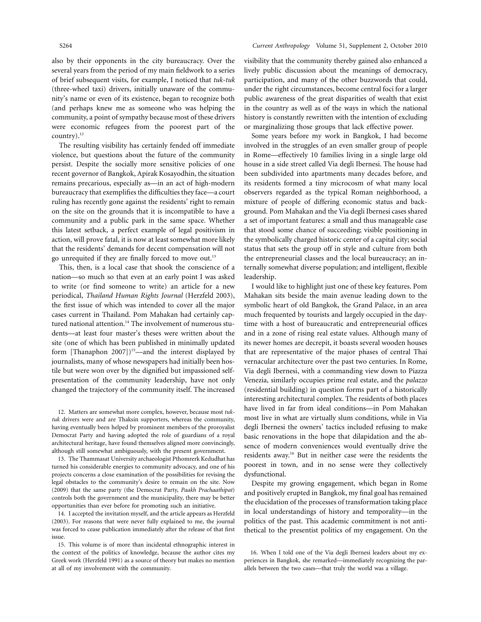S264 *Current Anthropology* Volume 51, Supplement 2, October 2010

also by their opponents in the city bureaucracy. Over the several years from the period of my main fieldwork to a series of brief subsequent visits, for example, I noticed that *tuk-tuk* (three-wheel taxi) drivers, initially unaware of the community's name or even of its existence, began to recognize both (and perhaps knew me as someone who was helping the community, a point of sympathy because most of these drivers were economic refugees from the poorest part of the country). $^{12}$ 

The resulting visibility has certainly fended off immediate violence, but questions about the future of the community persist. Despite the socially more sensitive policies of one recent governor of Bangkok, Apirak Kosayodhin, the situation remains precarious, especially as—in an act of high-modern bureaucracy that exemplifies the difficulties they face—a court ruling has recently gone against the residents' right to remain on the site on the grounds that it is incompatible to have a community and a public park in the same space. Whether this latest setback, a perfect example of legal positivism in action, will prove fatal, it is now at least somewhat more likely that the residents' demands for decent compensation will not go unrequited if they are finally forced to move out.<sup>13</sup>

This, then, is a local case that shook the conscience of a nation—so much so that even at an early point I was asked to write (or find someone to write) an article for a new periodical, *Thailand Human Rights Journal* (Herzfeld 2003), the first issue of which was intended to cover all the major cases current in Thailand. Pom Mahakan had certainly captured national attention.<sup>14</sup> The involvement of numerous students—at least four master's theses were written about the site (one of which has been published in minimally updated form [Thanaphon 2007])<sup>15</sup>—and the interest displayed by journalists, many of whose newspapers had initially been hostile but were won over by the dignified but impassioned selfpresentation of the community leadership, have not only changed the trajectory of the community itself. The increased

12. Matters are somewhat more complex, however, because most *tuktuk* drivers were and are Thaksin supporters, whereas the community, having eventually been helped by prominent members of the proroyalist Democrat Party and having adopted the role of guardians of a royal architectural heritage, have found themselves aligned more convincingly, although still somewhat ambiguously, with the present government.

13. The Thammasat University archaeologist Pthomrerk Kedudhat has turned his considerable energies to community advocacy, and one of his projects concerns a close examination of the possibilities for revising the legal obstacles to the community's desire to remain on the site. Now (2009) that the same party (the Democrat Party, *Paakh Prachaathipat*) controls both the government and the municipality, there may be better opportunities than ever before for promoting such an initiative.

14. I accepted the invitation myself, and the article appears as Herzfeld (2003). For reasons that were never fully explained to me, the journal was forced to cease publication immediately after the release of that first issue.

15. This volume is of more than incidental ethnographic interest in the context of the politics of knowledge, because the author cites my Greek work (Herzfeld 1991) as a source of theory but makes no mention at all of my involvement with the community.

visibility that the community thereby gained also enhanced a lively public discussion about the meanings of democracy, participation, and many of the other buzzwords that could, under the right circumstances, become central foci for a larger public awareness of the great disparities of wealth that exist in the country as well as of the ways in which the national history is constantly rewritten with the intention of excluding or marginalizing those groups that lack effective power.

Some years before my work in Bangkok, I had become involved in the struggles of an even smaller group of people in Rome—effectively 10 families living in a single large old house in a side street called Via degli Ibernesi. The house had been subdivided into apartments many decades before, and its residents formed a tiny microcosm of what many local observers regarded as the typical Roman neighborhood, a mixture of people of differing economic status and background. Pom Mahakan and the Via degli Ibernesi cases shared a set of important features: a small and thus manageable case that stood some chance of succeeding; visible positioning in the symbolically charged historic center of a capital city; social status that sets the group off in style and culture from both the entrepreneurial classes and the local bureaucracy; an internally somewhat diverse population; and intelligent, flexible leadership.

I would like to highlight just one of these key features. Pom Mahakan sits beside the main avenue leading down to the symbolic heart of old Bangkok, the Grand Palace, in an area much frequented by tourists and largely occupied in the daytime with a host of bureaucratic and entrepreneurial offices and in a zone of rising real estate values. Although many of its newer homes are decrepit, it boasts several wooden houses that are representative of the major phases of central Thai vernacular architecture over the past two centuries. In Rome, Via degli Ibernesi, with a commanding view down to Piazza Venezia, similarly occupies prime real estate, and the *palazzo* (residential building) in question forms part of a historically interesting architectural complex. The residents of both places have lived in far from ideal conditions—in Pom Mahakan most live in what are virtually slum conditions, while in Via degli Ibernesi the owners' tactics included refusing to make basic renovations in the hope that dilapidation and the absence of modern conveniences would eventually drive the residents away.16 But in neither case were the residents the poorest in town, and in no sense were they collectively dysfunctional.

Despite my growing engagement, which began in Rome and positively erupted in Bangkok, my final goal has remained the elucidation of the processes of transformation taking place in local understandings of history and temporality—in the politics of the past. This academic commitment is not antithetical to the presentist politics of my engagement. On the

<sup>16.</sup> When I told one of the Via degli Ibernesi leaders about my experiences in Bangkok, she remarked—immediately recognizing the parallels between the two cases—that truly the world was a village.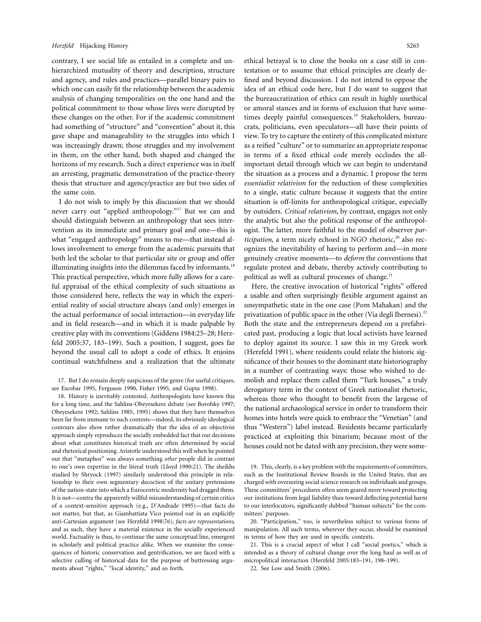contrary, I see social life as entailed in a complete and unhierarchized mutuality of theory and description, structure and agency, and rules and practices—parallel binary pairs to which one can easily fit the relationship between the academic analysis of changing temporalities on the one hand and the political commitment to those whose lives were disrupted by these changes on the other. For if the academic commitment had something of "structure" and "convention" about it, this gave shape and manageability to the struggles into which I was increasingly drawn; those struggles and my involvement in them, on the other hand, both shaped and changed the horizons of my research. Such a direct experience was in itself an arresting, pragmatic demonstration of the practice-theory thesis that structure and agency/practice are but two sides of the same coin.

I do not wish to imply by this discussion that we should never carry out "applied anthropology."17 But we can and should distinguish between an anthropology that sees intervention as its immediate and primary goal and one—this is what "engaged anthropology" means to me—that instead allows involvement to emerge from the academic pursuits that both led the scholar to that particular site or group and offer illuminating insights into the dilemmas faced by informants.<sup>18</sup> This practical perspective, which more fully allows for a careful appraisal of the ethical complexity of such situations as those considered here, reflects the way in which the experiential reality of social structure always (and only) emerges in the actual performance of social interaction—in everyday life and in field research—and in which it is made palpable by creative play with its conventions (Giddens 1984:25–28; Herzfeld 2005:37, 183–199). Such a position, I suggest, goes far beyond the usual call to adopt a code of ethics. It enjoins continual watchfulness and a realization that the ultimate

17. But I do remain deeply suspicious of the genre (for useful critiques, see Escobar 1995, Ferguson 1990, Fisher 1995, and Gupta 1998).

18. History is inevitably contested. Anthropologists have known this for a long time, and the Sahlins-Obeyesekere debate (see Borofsky 1997; Obeyesekere 1992; Sahlins 1985, 1995) shows that they have themselves been far from immune to such contests—indeed, its obviously ideological contours also show rather dramatically that the idea of an objectivist approach simply reproduces the socially embedded fact that our decisions about what constitutes historical truth are often determined by social and rhetorical positioning. Aristotle understood this well when he pointed out that "metaphor" was always something *other* people did in contrast to one's own expertise in the literal truth (Lloyd 1990:21). The sheikhs studied by Shryock (1997) similarly understood this principle in relationship to their own segmentary decoction of the unitary pretensions of the nation-state into which a Eurocentric modernity had dragged them. It is not—contra the apparently willful misunderstanding of certain critics of a context-sensitive approach (e.g., D'Andrade 1995)—that facts do not matter, but that, as Giambattista Vico pointed out in an explicitly anti-Cartesian argument (see Herzfeld 1998:76), *facts are representations*, and as such, they have a material existence in the socially experienced world. Factuality is thus, to continue the same conceptual line, emergent in scholarly and political practice alike. When we examine the consequences of historic conservation and gentrification, we are faced with a selective culling of historical data for the purpose of buttressing arguments about "rights," "local identity," and so forth.

ethical betrayal is to close the books on a case still in contestation or to assume that ethical principles are clearly defined and beyond discussion. I do not intend to oppose the idea of an ethical code here, but I do want to suggest that the bureaucratization of ethics can result in highly unethical or amoral stances and in forms of exclusion that have sometimes deeply painful consequences.<sup>19</sup> Stakeholders, bureaucrats, politicians, even speculators—all have their points of view. To try to capture the entirety of this complicated mixture as a reified "culture" or to summarize an appropriate response in terms of a fixed ethical code merely occludes the allimportant detail through which we can begin to understand the situation as a process and a dynamic. I propose the term *essentialist relativism* for the reduction of these complexities to a single, static culture because it suggests that the entire situation is off-limits for anthropological critique, especially by outsiders. *Critical relativism*, by contrast, engages not only the analytic but also the political response of the anthropologist. The latter, more faithful to the model of observer *participation*, a term nicely echoed in NGO rhetoric,<sup>20</sup> also recognizes the inevitability of having to perform and—in more genuinely creative moments—to *deform* the conventions that regulate protest and debate, thereby actively contributing to political as well as cultural processes of change. $21$ 

Here, the creative invocation of historical "rights" offered a usable and often surprisingly flexible argument against an unsympathetic state in the one case (Pom Mahakan) and the privatization of public space in the other (Via degli Ibernesi).<sup>22</sup> Both the state and the entrepreneurs depend on a prefabricated past, producing a logic that local activists have learned to deploy against its source. I saw this in my Greek work (Herzfeld 1991), where residents could relate the historic significance of their houses to the dominant state historiography in a number of contrasting ways: those who wished to demolish and replace them called them "Turk houses," a truly derogatory term in the context of Greek nationalist rhetoric, whereas those who thought to benefit from the largesse of the national archaeological service in order to transform their homes into hotels were quick to embrace the "Venetian" (and thus "Western") label instead. Residents became particularly practiced at exploiting this binarism; because most of the houses could not be dated with any precision, they were some-

19. This, clearly, is a key problem with the requirements of committees, such as the Institutional Review Boards in the United States, that are charged with overseeing social science research on individuals and groups. These committees' procedures often seem geared more toward protecting our institutions from legal liability than toward deflecting potential harm to our interlocutors, significantly dubbed "human subjects" for the committees' purposes.

20. "Participation," too, is nevertheless subject to various forms of manipulation. All such terms, wherever they occur, should be examined in terms of how they are used in specific contexts.

21. This is a crucial aspect of what I call "social poetics," which is intended as a theory of cultural change over the long haul as well as of micropolitical interaction (Herzfeld 2005:183–191, 198–199).

22. See Low and Smith (2006).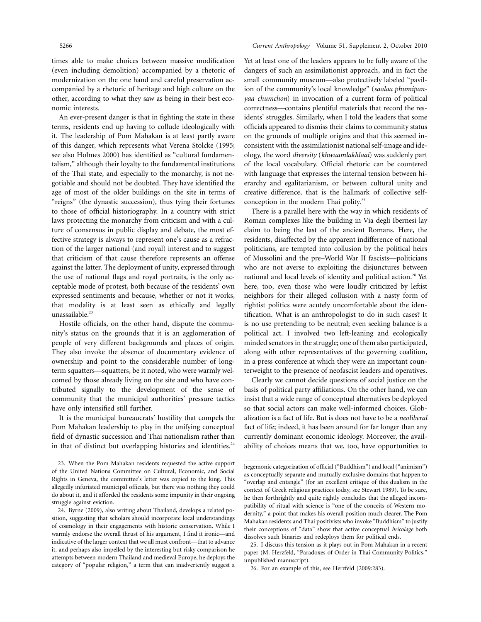## S266 *Current Anthropology* Volume 51, Supplement 2, October 2010

times able to make choices between massive modification (even including demolition) accompanied by a rhetoric of modernization on the one hand and careful preservation accompanied by a rhetoric of heritage and high culture on the other, according to what they saw as being in their best economic interests.

An ever-present danger is that in fighting the state in these terms, residents end up having to collude ideologically with it. The leadership of Pom Mahakan is at least partly aware of this danger, which represents what Verena Stolcke (1995; see also Holmes 2000) has identified as "cultural fundamentalism," although their loyalty to the fundamental institutions of the Thai state, and especially to the monarchy, is not negotiable and should not be doubted. They have identified the age of most of the older buildings on the site in terms of "reigns" (the dynastic succession), thus tying their fortunes to those of official historiography. In a country with strict laws protecting the monarchy from criticism and with a culture of consensus in public display and debate, the most effective strategy is always to represent one's cause as a refraction of the larger national (and royal) interest and to suggest that criticism of that cause therefore represents an offense against the latter. The deployment of unity, expressed through the use of national flags and royal portraits, is the only acceptable mode of protest, both because of the residents' own expressed sentiments and because, whether or not it works, that modality is at least seen as ethically and legally unassailable.<sup>23</sup>

Hostile officials, on the other hand, dispute the community's status on the grounds that it is an agglomeration of people of very different backgrounds and places of origin. They also invoke the absence of documentary evidence of ownership and point to the considerable number of longterm squatters—squatters, be it noted, who were warmly welcomed by those already living on the site and who have contributed signally to the development of the sense of community that the municipal authorities' pressure tactics have only intensified still further.

It is the municipal bureaucrats' hostility that compels the Pom Mahakan leadership to play in the unifying conceptual field of dynastic succession and Thai nationalism rather than in that of distinct but overlapping histories and identities. $24$ 

Yet at least one of the leaders appears to be fully aware of the dangers of such an assimilationist approach, and in fact the small community museum—also protectively labeled "pavilion of the community's local knowledge" (*saalaa phumipanyaa chumchon*) in invocation of a current form of political correctness—contains plentiful materials that record the residents' struggles. Similarly, when I told the leaders that some officials appeared to dismiss their claims to community status on the grounds of multiple origins and that this seemed inconsistent with the assimilationist national self-image and ideology, the word *diversity* (*khwaamlakhlaai*) was suddenly part of the local vocabulary. Official rhetoric can be countered with language that expresses the internal tension between hierarchy and egalitarianism, or between cultural unity and creative difference, that is the hallmark of collective selfconception in the modern Thai polity.25

There is a parallel here with the way in which residents of Roman complexes like the building in Via degli Ibernesi lay claim to being the last of the ancient Romans. Here, the residents, disaffected by the apparent indifference of national politicians, are tempted into collusion by the political heirs of Mussolini and the pre–World War II fascists—politicians who are not averse to exploiting the disjunctures between national and local levels of identity and political action.<sup>26</sup> Yet here, too, even those who were loudly criticized by leftist neighbors for their alleged collusion with a nasty form of rightist politics were acutely uncomfortable about the identification. What is an anthropologist to do in such cases? It is no use pretending to be neutral; even seeking balance is a political act. I involved two left-leaning and ecologically minded senators in the struggle; one of them also participated, along with other representatives of the governing coalition, in a press conference at which they were an important counterweight to the presence of neofascist leaders and operatives.

Clearly we cannot decide questions of social justice on the basis of political party affiliations. On the other hand, we can insist that a wide range of conceptual alternatives be deployed so that social actors can make well-informed choices. Globalization is a fact of life. But is does not have to be a *neoliberal* fact of life; indeed, it has been around for far longer than any currently dominant economic ideology. Moreover, the availability of choices means that we, too, have opportunities to

25. I discuss this tension as it plays out in Pom Mahakan in a recent paper (M. Herzfeld, "Paradoxes of Order in Thai Community Politics," unpublished manuscript).

26. For an example of this, see Herzfeld (2009:283).

<sup>23.</sup> When the Pom Mahakan residents requested the active support of the United Nations Committee on Cultural, Economic, and Social Rights in Geneva, the committee's letter was copied to the king. This allegedly infuriated municipal officials, but there was nothing they could do about it, and it afforded the residents some impunity in their ongoing struggle against eviction.

<sup>24.</sup> Byrne (2009), also writing about Thailand, develops a related position, suggesting that scholars should incorporate local understandings of cosmology in their engagements with historic conservation. While I warmly endorse the overall thrust of his argument, I find it ironic—and indicative of the larger context that we all must confront—that to advance it, and perhaps also impelled by the interesting but risky comparison he attempts between modern Thailand and medieval Europe, he deploys the category of "popular religion," a term that can inadvertently suggest a

hegemonic categorization of official ("Buddhism") and local ("animism") as conceptually separate and mutually exclusive domains that happen to "overlap and entangle" (for an excellent critique of this dualism in the context of Greek religious practices today, see Stewart 1989). To be sure, he then forthrightly and quite rightly concludes that the alleged incompatibility of ritual with science is "one of the conceits of Western modernity," a point that makes his overall position much clearer. The Pom Mahakan residents and Thai positivists who invoke "Buddhism" to justify their conceptions of "data" show that active conceptual *bricolage* both dissolves such binaries and redeploys them for political ends.